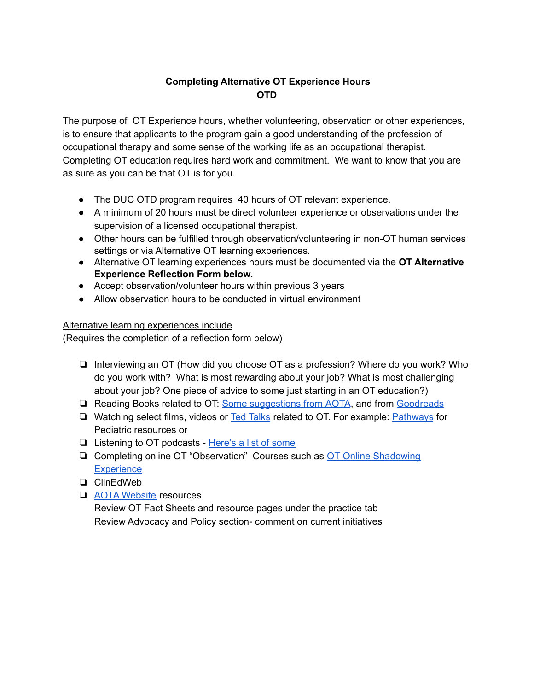## **Completing Alternative OT Experience Hours OTD**

The purpose of OT Experience hours, whether volunteering, observation or other experiences, is to ensure that applicants to the program gain a good understanding of the profession of occupational therapy and some sense of the working life as an occupational therapist. Completing OT education requires hard work and commitment. We want to know that you are as sure as you can be that OT is for you.

- The DUC OTD program requires 40 hours of OT relevant experience.
- A minimum of 20 hours must be direct volunteer experience or observations under the supervision of a licensed occupational therapist.
- Other hours can be fulfilled through observation/volunteering in non-OT human services settings or via Alternative OT learning experiences.
- Alternative OT learning experiences hours must be documented via the **OT Alternative Experience Reflection Form below.**
- Accept observation/volunteer hours within previous 3 years
- Allow observation hours to be conducted in virtual environment

## Alternative learning experiences include

(Requires the completion of a reflection form below)

- ❏ Interviewing an OT (How did you choose OT as a profession? Where do you work? Who do you work with? What is most rewarding about your job? What is most challenging about your job? One piece of advice to some just starting in an OT education?)
- ❏ Reading Books related to OT: Some [suggestions](https://communot.aota.org/blogs/stephanie-yamkovenko/2019/06/06/reading-book-novels-memoirs-nonfiction-ot-loves) from AOTA, and from [Goodreads](https://www.goodreads.com/)
- □ Watching select films, videos or Ted [Talks](https://www.youtube.com/playlist?list=PLTkeZn8Dib6JhIlY6V3Gkf8oyTEJ7Cuif) related to OT. For example: [Pathways](https://pathways.org/) for Pediatric resources or
- ❏ Listening to OT podcasts [Here's](https://www.myotspot.com/occupational-therapy-podcasts/) a list of some
- ❏ Completing online OT "Observation" Courses such as OT Online [Shadowing](https://rise.articulate.com/share/oqbmWqPTs5TB36aI5R7DUMblwykJiY_Y#/lessons/klvwZBGX66M7oIl0XsO_3AC3yBkLrXkC) **[Experience](https://rise.articulate.com/share/oqbmWqPTs5TB36aI5R7DUMblwykJiY_Y#/lessons/klvwZBGX66M7oIl0XsO_3AC3yBkLrXkC)**
- ❏ ClinEdWeb
- ❏ AOTA [Website](https://www.aota.org/) resources

Review OT Fact Sheets and resource pages under the practice tab Review Advocacy and Policy section- comment on current initiatives